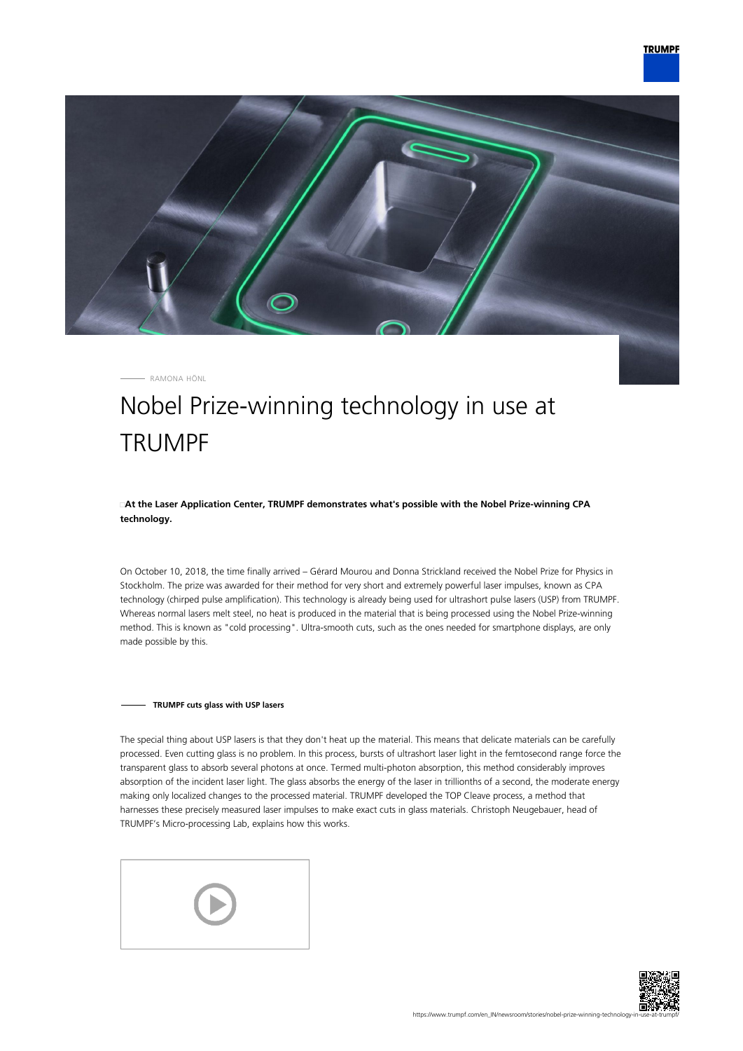

RAMONA HÖNL

## Nobel Prize-winning technology in use at **TRUMPF**

**At the Laser Application Center, TRUMPF demonstrates what's possible with the Nobel Prize-winning CPA technology.**

On October 10, 2018, the time finally arrived – Gérard Mourou and Donna Strickland received the Nobel Prize for Physics in Stockholm. The prize was awarded for their method for very short and extremely powerful laser impulses, known as CPA technology (chirped pulse amplification). This technology is already being used for ultrashort pulse lasers (USP) from TRUMPF. Whereas normal lasers melt steel, no heat is produced in the material that is being processed using the Nobel Prize-winning method. This is known as "cold processing". Ultra-smooth cuts, such as the ones needed for smartphone displays, are only made possible by this.

## **TRUMPF cuts glass with USP lasers**

The special thing about USP lasers is that they don't heat up the material. This means that delicate materials can be carefully processed. Even cutting glass is no problem. In this process, bursts of ultrashort laser light in the femtosecond range force the transparent glass to absorb several photons at once. Termed multi-photon absorption, this method considerably improves absorption of the incident laser light. The glass absorbs the energy of the laser in trillionths of a second, the moderate energy making only localized changes to the processed material. TRUMPF developed the TOP Cleave process, a method that harnesses these precisely measured laser impulses to make exact cuts in glass materials. Christoph Neugebauer, head of TRUMPF's Micro-processing Lab, explains how this works.